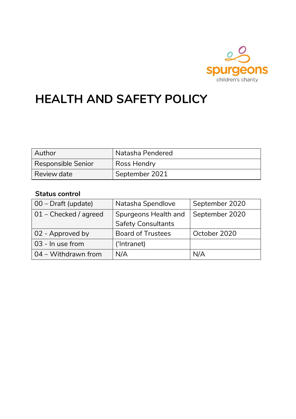

# **HEALTH AND SAFETY POLICY**

| Author             | Natasha Pendered |
|--------------------|------------------|
| Responsible Senior | Ross Hendry      |
| Review date        | September 2021   |

# **Status control**

| $\vert$ 00 – Draft (update) | Natasha Spendlove         | September 2020 |  |
|-----------------------------|---------------------------|----------------|--|
| 01 - Checked / agreed       | Spurgeons Health and      | September 2020 |  |
|                             | <b>Safety Consultants</b> |                |  |
| 02 - Approved by            | <b>Board of Trustees</b>  | October 2020   |  |
| 03 - In use from            | ('Intranet)               |                |  |
| $\vert$ 04 – Withdrawn from | N/A                       | N/A            |  |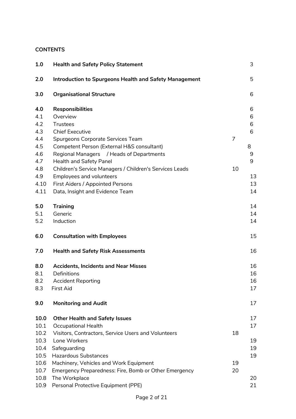# **CONTENTS**

| 1.0  | <b>Health and Safety Policy Statement</b>                     |    | 3  |
|------|---------------------------------------------------------------|----|----|
| 2.0  | <b>Introduction to Spurgeons Health and Safety Management</b> |    | 5  |
| 3.0  | <b>Organisational Structure</b>                               |    | 6  |
| 4.0  | <b>Responsibilities</b>                                       |    | 6  |
| 4.1  | Overview                                                      |    | 6  |
| 4.2  | <b>Trustees</b>                                               |    | 6  |
| 4.3  | <b>Chief Executive</b>                                        |    | 6  |
| 4.4  | Spurgeons Corporate Services Team                             | 7  |    |
| 4.5  | Competent Person (External H&S consultant)                    |    | 8  |
| 4.6  | Regional Managers / Heads of Departments                      |    | 9  |
| 4.7  | Health and Safety Panel                                       |    | 9  |
| 4.8  | Children's Service Managers / Children's Services Leads       | 10 |    |
| 4.9  | <b>Employees and volunteers</b>                               |    | 13 |
| 4.10 | First Aiders / Appointed Persons                              |    | 13 |
| 4.11 | Data, Insight and Evidence Team                               |    | 14 |
| 5.0  | <b>Training</b>                                               |    | 14 |
| 5.1  | Generic                                                       |    | 14 |
| 5.2  | Induction                                                     |    | 14 |
| 6.0  | <b>Consultation with Employees</b>                            |    | 15 |
| 7.0  | <b>Health and Safety Risk Assessments</b>                     |    | 16 |
| 8.0  | <b>Accidents, Incidents and Near Misses</b>                   |    | 16 |
| 8.1  | Definitions                                                   |    | 16 |
| 8.2  | <b>Accident Reporting</b>                                     |    | 16 |
| 8.3  | <b>First Aid</b>                                              |    | 17 |
| 9.0  | <b>Monitoring and Audit</b>                                   |    | 17 |
| 10.0 | <b>Other Health and Safety Issues</b>                         |    | 17 |
| 10.1 | <b>Occupational Health</b>                                    |    | 17 |
| 10.2 | Visitors, Contractors, Service Users and Volunteers           | 18 |    |
| 10.3 | Lone Workers                                                  |    | 19 |
| 10.4 | Safeguarding                                                  |    | 19 |
| 10.5 | <b>Hazardous Substances</b>                                   |    | 19 |
| 10.6 | Machinery, Vehicles and Work Equipment                        | 19 |    |
| 10.7 | Emergency Preparedness: Fire, Bomb or Other Emergency         | 20 |    |
| 10.8 | The Workplace                                                 |    | 20 |
| 10.9 | Personal Protective Equipment (PPE)                           |    | 21 |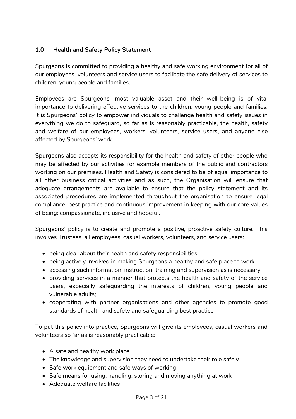# **1.0 Health and Safety Policy Statement**

Spurgeons is committed to providing a healthy and safe working environment for all of our employees, volunteers and service users to facilitate the safe delivery of services to children, young people and families.

Employees are Spurgeons' most valuable asset and their well-being is of vital importance to delivering effective services to the children, young people and families. It is Spurgeons' policy to empower individuals to challenge health and safety issues in everything we do to safeguard, so far as is reasonably practicable, the health, safety and welfare of our employees, workers, volunteers, service users, and anyone else affected by Spurgeons' work.

Spurgeons also accepts its responsibility for the health and safety of other people who may be affected by our activities for example members of the public and contractors working on our premises. Health and Safety is considered to be of equal importance to all other business critical activities and as such, the Organisation will ensure that adequate arrangements are available to ensure that the policy statement and its associated procedures are implemented throughout the organisation to ensure legal compliance, best practice and continuous improvement in keeping with our core values of being: compassionate, inclusive and hopeful.

Spurgeons' policy is to create and promote a positive, proactive safety culture. This involves Trustees, all employees, casual workers, volunteers, and service users:

- being clear about their health and safety responsibilities
- being actively involved in making Spurgeons a healthy and safe place to work
- accessing such information, instruction, training and supervision as is necessary
- providing services in a manner that protects the health and safety of the service users, especially safeguarding the interests of children, young people and vulnerable adults;
- cooperating with partner organisations and other agencies to promote good standards of health and safety and safeguarding best practice

To put this policy into practice, Spurgeons will give its employees, casual workers and volunteers so far as is reasonably practicable:

- A safe and healthy work place
- The knowledge and supervision they need to undertake their role safely
- Safe work equipment and safe ways of working
- Safe means for using, handling, storing and moving anything at work
- Adequate welfare facilities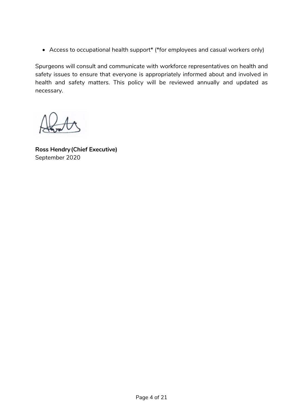• Access to occupational health support\* (\*for employees and casual workers only)

Spurgeons will consult and communicate with workforce representatives on health and safety issues to ensure that everyone is appropriately informed about and involved in health and safety matters. This policy will be reviewed annually and updated as necessary.

**Ross Hendry(Chief Executive)** September 2020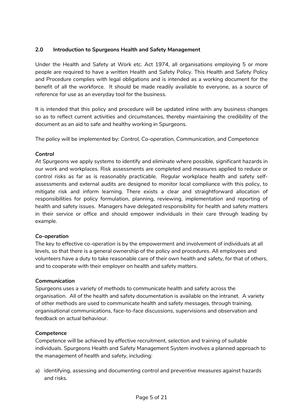# **2.0 Introduction to Spurgeons Health and Safety Management**

Under the Health and Safety at Work etc. Act 1974, all organisations employing 5 or more people are required to have a written Health and Safety Policy. This Health and Safety Policy and Procedure complies with legal obligations and is intended as a working document for the benefit of all the workforce. It should be made readily available to everyone, as a source of reference for use as an everyday tool for the business.

It is intended that this policy and procedure will be updated inline with any business changes so as to reflect current activities and circumstances, thereby maintaining the credibility of the document as an aid to safe and healthy working in Spurgeons.

The policy will be implemented by: *Control, Co-operation, Communication, and Competence*

# *Control*

At Spurgeons we apply systems to identify and eliminate where possible, significant hazards in our work and workplaces. Risk assessments are completed and measures applied to reduce or control risks as far as is reasonably practicable. Regular workplace health and safety selfassessments and external audits are designed to monitor local compliance with this policy, to mitigate risk and inform learning. There exists a clear and straightforward allocation of responsibilities for policy formulation, planning, reviewing, implementation and reporting of health and safety issues. Managers have delegated responsibility for health and safety matters in their service or office and should empower individuals in their care through leading by example.

#### *Co-operation*

The key to effective co-operation is by the empowerment and involvement of individuals at all levels, so that there is a general ownership of the policy and procedures. All employees and volunteers have a duty to take reasonable care of their own health and safety, for that of others, and to cooperate with their employer on health and safety matters.

#### *Communication*

Spurgeons uses a variety of methods to communicate health and safety across the organisation. All of the health and safety documentation is available on the intranet. A variety of other methods are used to communicate health and safety messages, through training, organisational communications, face-to-face discussions, supervisions and observation and feedback on actual behaviour.

#### *Competence*

Competence will be achieved by effective recruitment, selection and training of suitable individuals. Spurgeons Health and Safety Management System involves a planned approach to the management of health and safety, including:

a) identifying, assessing and documenting control and preventive measures against hazards and risks.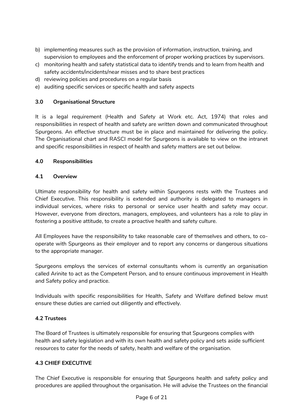- b) implementing measures such as the provision of information, instruction, training, and supervision to employees and the enforcement of proper working practices by supervisors.
- c) monitoring health and safety statistical data to identify trends and to learn from health and safety accidents/incidents/near misses and to share best practices
- d) reviewing policies and procedures on a regular basis
- e) auditing specific services or specific health and safety aspects

# **3.0 Organisational Structure**

It is a legal requirement (Health and Safety at Work etc. Act, 1974) that roles and responsibilities in respect of health and safety are written down and communicated throughout Spurgeons. An effective structure must be in place and maintained for delivering the policy. The Organisational chart and RASCI model for Spurgeons is available to view on the intranet and specific responsibilities in respect of health and safety matters are set out below.

# **4.0 Responsibilities**

# **4.1 Overview**

Ultimate responsibility for health and safety within Spurgeons rests with the Trustees and Chief Executive. This responsibility is extended and authority is delegated to managers in individual services, where risks to personal or service user health and safety may occur. However, everyone from directors, managers, employees, and volunteers has a role to play in fostering a positive attitude, to create a proactive health and safety culture.

All Employees have the responsibility to take reasonable care of themselves and others, to cooperate with Spurgeons as their employer and to report any concerns or dangerous situations to the appropriate manager.

Spurgeons employs the services of external consultants whom is currently an organisation called Arinite to act as the Competent Person, and to ensure continuous improvement in Health and Safety policy and practice.

Individuals with specific responsibilities for Health, Safety and Welfare defined below must ensure these duties are carried out diligently and effectively.

# **4.2 Trustees**

The Board of Trustees is ultimately responsible for ensuring that Spurgeons complies with health and safety legislation and with its own health and safety policy and sets aside sufficient resources to cater for the needs of safety, health and welfare of the organisation.

# **4.3 CHIEF EXECUTIVE**

The Chief Executive is responsible for ensuring that Spurgeons health and safety policy and procedures are applied throughout the organisation. He will advise the Trustees on the financial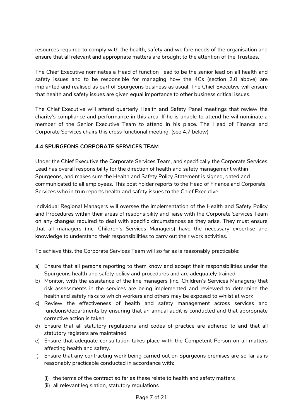resources required to comply with the health, safety and welfare needs of the organisation and ensure that all relevant and appropriate matters are brought to the attention of the Trustees.

The Chief Executive nominates a Head of function lead to be the senior lead on all health and safety issues and to be responsible for managing how the 4Cs (section 2.0 above) are implanted and realised as part of Spurgeons business as usual. The Chief Executive will ensure that health and safety issues are given equal importance to other business critical issues.

The Chief Executive will attend quarterly Health and Safety Panel meetings that review the charity's compliance and performance in this area. If he is unable to attend he wil nominate a member of the Senior Executive Team to attend in his place. The Head of Finance and Corporate Services chairs this cross functional meeting. (see 4.7 below)

# **4.4 SPURGEONS CORPORATE SERVICES TEAM**

Under the Chief Executive the Corporate Services Team, and specifically the Corporate Services Lead has overall responsibility for the direction of health and safety management within Spurgeons, and makes sure the Health and Safety Policy Statement is signed, dated and communicated to all employees. This post holder reports to the Head of Finance and Corporate Services who in trun reports health and safety issues to the Chief Executive.

Individual Regional Managers will oversee the implementation of the Health and Safety Policy and Procedures within their areas of responsibility and liaise with the Corporate Services Team on any changes required to deal with specific circumstances as they arise. They must ensure that all managers (inc. Children's Services Managers) have the necessary expertise and knowledge to understand their responsibilities to carry out their work activities.

To achieve this, the Corporate Services Team will so far as is reasonably practicable:

- a) Ensure that all persons reporting to them know and accept their responsibilities under the Spurgeons health and safety policy and procedures and are adequately trained
- b) Monitor, with the assistance of the line managers (inc. Children's Services Managers) that risk assessments in the services are being implemented and reviewed to determine the health and safety risks to which workers and others may be exposed to whilst at work
- c) Review the effectiveness of health and safety management across services and functions/departments by ensuring that an annual audit is conducted and that appropriate corrective action is taken
- d) Ensure that all statutory regulations and codes of practice are adhered to and that all statutory registers are maintained
- e) Ensure that adequate consultation takes place with the Competent Person on all matters affecting health and safety.
- f) Ensure that any contracting work being carried out on Spurgeons premises are so far as is reasonably practicable conducted in accordance with:
	- (i) the terms of the contract so far as these relate to health and safety matters
	- (ii) all relevant legislation, statutory regulations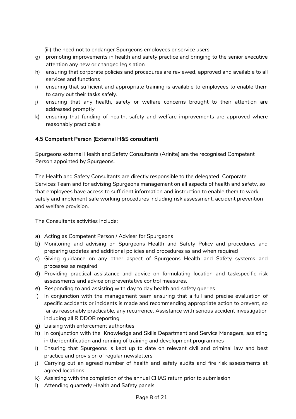(iii) the need not to endanger Spurgeons employees or service users

- g) promoting improvements in health and safety practice and bringing to the senior executive attention any new or changed legislation
- h) ensuring that corporate policies and procedures are reviewed, approved and available to all services and functions
- i) ensuring that sufficient and appropriate training is available to employees to enable them to carry out their tasks safely.
- j) ensuring that any health, safety or welfare concerns brought to their attention are addressed promptly
- k) ensuring that funding of health, safety and welfare improvements are approved where reasonably practicable

# **4.5 Competent Person (External H&S consultant)**

Spurgeons external Health and Safety Consultants (Arinite) are the recognised Competent Person appointed by Spurgeons.

The Health and Safety Consultants are directly responsible to the delegated Corporate Services Team and for advising Spurgeons management on all aspects of health and safety, so that employees have access to sufficient information and instruction to enable them to work safely and implement safe working procedures including risk assessment, accident prevention and welfare provision.

The Consultants activities include:

- a) Acting as Competent Person / Adviser for Spurgeons
- b) Monitoring and advising on Spurgeons Health and Safety Policy and procedures and preparing updates and additional policies and procedures as and when required
- c) Giving guidance on any other aspect of Spurgeons Health and Safety systems and processes as required
- d) Providing practical assistance and advice on formulating location and taskspecific risk assessments and advice on preventative control measures.
- e) Responding to and assisting with day to day health and safety queries
- f) In conjunction with the management team ensuring that a full and precise evaluation of specific accidents or incidents is made and recommending appropriate action to prevent, so far as reasonably practicable, any recurrence. Assistance with serious accident investigation including all RIDDOR reporting
- g) Liaising with enforcement authorities
- h) In conjunction with the Knowledge and Skills Department and Service Managers, assisting in the identification and running of training and development programmes
- i) Ensuring that Spurgeons is kept up to date on relevant civil and criminal law and best practice and provision of regular newsletters
- j) Carrying out an agreed number of health and safety audits and fire risk assessments at agreed locations
- k) Assisting with the completion of the annual CHAS return prior to submission
- l) Attending quarterly Health and Safety panels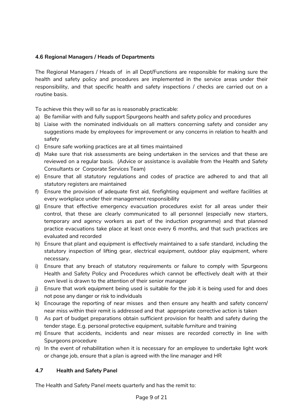# **4.6 Regional Managers / Heads of Departments**

The Regional Managers / Heads of in all Dept/Functions are responsible for making sure the health and safety policy and procedures are implemented in the service areas under their responsibility, and that specific health and safety inspections / checks are carried out on a routine basis.

To achieve this they will so far as is reasonably practicable:

- a) Be familiar with and fully support Spurgeons health and safety policy and procedures
- b) Liaise with the nominated individuals on all matters concerning safety and consider any suggestions made by employees for improvement or any concerns in relation to health and safety
- c) Ensure safe working practices are at all times maintained
- d) Make sure that risk assessments are being undertaken in the services and that these are reviewed on a regular basis. (Advice or assistance is available from the Health and Safety Consultants or Corporate Services Team)
- e) Ensure that all statutory regulations and codes of practice are adhered to and that all statutory registers are maintained
- f) Ensure the provision of adequate first aid, firefighting equipment and welfare facilities at every workplace under their management responsibility
- g) Ensure that effective emergency evacuation procedures exist for all areas under their control, that these are clearly communicated to all personnel (especially new starters, temporary and agency workers as part of the induction programme) and that planned practice evacuations take place at least once every 6 months, and that such practices are evaluated and recorded
- h) Ensure that plant and equipment is effectively maintained to a safe standard, including the statutory inspection of lifting gear, electrical equipment, outdoor play equipment, where necessary.
- i) Ensure that any breach of statutory requirements or failure to comply with Spurgeons Health and Safety Policy and Procedures which cannot be effectively dealt with at their own level is drawn to the attention of their senior manager
- j) Ensure that work equipment being used is suitable for the job it is being used for and does not pose any danger or risk to individuals
- k) Encourage the reporting of near misses and then ensure any health and safety concern/ near miss within their remit is addressed and that appropriate corrective action is taken
- l) As part of budget preparations obtain sufficient provision for health and safety during the tender stage. E.g. personal protective equipment, suitable furniture and training
- m) Ensure that accidents, incidents and near misses are recorded correctly in line with Spurgeons procedure
- n) In the event of rehabilitation when it is necessary for an employee to undertake light work or change job, ensure that a plan is agreed with the line manager and HR

# **4.7 Health and Safety Panel**

The Health and Safety Panel meets quarterly and has the remit to: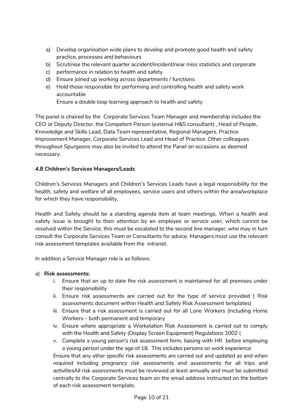- a) Develop organisation wide plans to develop and promote good health and safety practice, processes and behaviours
- b) Scrutinise the relevant quarter accident/incident/near miss statistics and corporate
- c) performance in relation to health and safety
- d) Ensure joined up working across departments / functions
- e) Hold those responsible for performing and controlling health and safety work accountable Ensure a double loop learning approach to health and safety

The panel is chaired by the Corporate Services Team Manager and membership includes the CEO or Deputy Director, the Competent Person (external H&S consultant) , Head of People, Knowledge and Skills Lead, Data Team representative, Regional Managers, Practice Improvement Manager, Corporate Services Lead and Head of Practice. Other colleagues throughout Spurgeons may also be invited to attend the Panel on occasions as deemed necessary.

# **4.8 Children's Services Managers/Leads**

Children's Services Managers and Children's Services Leads have a legal responsibility for the health, safety and welfare of all employees, service users and others within the area/workplace for which they have responsibility.

Health and Safety should be a standing agenda item at team meetings. When a health and safety issue is brought to their attention by an employee or service user, which cannot be resolved within the Service, this must be escalated to the second line manager, who may in turn consult the Corporate Services Team or Consultants for advice. Managers must use the relevant risk assessment templates available from the intranet.

In addition a Service Manager role is as follows:

#### a) **Risk assessments:**

- i. Ensure that an up to date fire risk assessment is maintained for all premises under their responsibility
- ii. Ensure risk assessments are carried out for the type of service provided ( Risk assessments document within Health and Safety Risk Assessment templates)
- iii. Ensure that a risk assessment is carried out for all Lone Workers (including Home Workers – both permanent and temporary
- iv. Ensure where appropriate a Workstation Risk Assessment is carried out to comply with the Health and Safety (Display Screen Equipment) Regulations 2002 (
- v. Complete a young person's risk assessment form, liaising with HR before employing a young person under the age of 18. This includes persons on work experience

Ensure that any other specific risk assessments are carried out and updated as and when required including pregnancy risk assessments and assessments for all trips and activitiesAll risk assessments must be reviewed at least annually and must be submitted centrally to the Corporate Services team on the email address instructed on the bottom of each risk assessment template.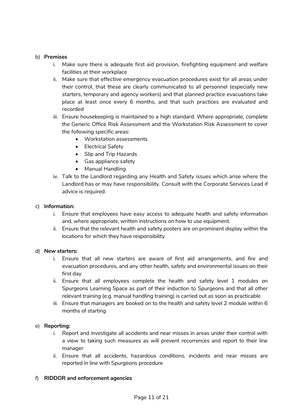#### b) **Premises**

- i. Make sure there is adequate first aid provision, firefighting equipment and welfare facilities at their workplace
- ii. Make sure that effective emergency evacuation procedures exist for all areas under their control, that these are clearly communicated to all personnel (especially new starters, temporary and agency workers) and that planned practice evacuations take place at least once every 6 months, and that such practices are evaluated and recorded
- iii. Ensure housekeeping is maintained to a high standard. Where appropriate, complete the Generic Office Risk Assessment and the Workstation Risk Assessment to cover the following specific areas:
	- Workstation assessments
	- Electrical Safety
	- Slip and Trip Hazards
	- Gas appliance safety
	- Manual Handling
- iv. Talk to the Landlord regarding any Health and Safety issues which arise where the Landlord has or may have responsibility. Consult with the Corporate Services Lead if advice is required.

#### c) **Information:**

- i. Ensure that employees have easy access to adequate health and safety information and, where appropriate, written instructions on how to use equipment.
- ii. Ensure that the relevant health and safety posters are on prominent display within the locations for which they have responsibility

#### d) **New starters:**

- i. Ensure that all new starters are aware of first aid arrangements, and fire and evacuation procedures, and any other health, safety and environmental issues on their first day
- ii. Ensure that all employees complete the health and safety level 1 modules on Spurgeons Learning Space as part of their induction to Spurgeons and that all other relevant training (e.g. manual handling training) is carried out as soon as practicable
- iii. Ensure that managers are booked on to the health and safety level 2 module within 6 months of starting

#### e) **Reporting:**

- i. Report and investigate all accidents and near misses in areas under their control with a view to taking such measures as will prevent recurrences and report to their line manager
- ii. Ensure that all accidents, hazardous conditions, incidents and near misses are reported in line with Spurgeons procedure

#### f) **RIDDOR and enforcement agencies**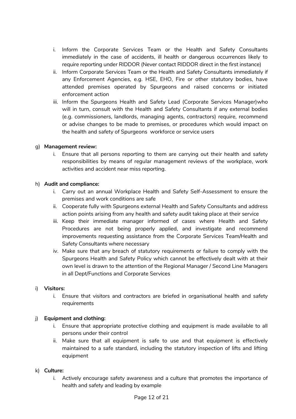- i. Inform the Corporate Services Team or the Health and Safety Consultants immediately in the case of accidents, ill health or dangerous occurrences likely to require reporting under RIDDOR (Never contact RIDDOR direct in the first instance)
- ii. Inform Corporate Services Team or the Health and Safety Consultants immediately if any Enforcement Agencies, e.g. HSE, EHO, Fire or other statutory bodies, have attended premises operated by Spurgeons and raised concerns or initiated enforcement action
- iii. Inform the Spurgeons Health and Safety Lead (Corporate Services Manager)who will in turn, consult with the Health and Safety Consultants if any external bodies (e.g. commissioners, landlords, managing agents, contractors) require, recommend or advise changes to be made to premises, or procedures which would impact on the health and safety of Spurgeons workforce or service users

## g) **Management review:**

i. Ensure that all persons reporting to them are carrying out their health and safety responsibilities by means of regular management reviews of the workplace, work activities and accident near miss reporting.

#### h) **Audit and compliance:**

- i. Carry out an annual Workplace Health and Safety Self-Assessment to ensure the premises and work conditions are safe
- ii. Cooperate fully with Spurgeons external Health and Safety Consultants and address action points arising from any health and safety audit taking place at their service
- iii. Keep their immediate manager informed of cases where Health and Safety Procedures are not being properly applied, and investigate and recommend improvements requesting assistance from the Corporate Services Team/Health and Safety Consultants where necessary
- iv. Make sure that any breach of statutory requirements or failure to comply with the Spurgeons Health and Safety Policy which cannot be effectively dealt with at their own level is drawn to the attention of the Regional Manager / Second Line Managers in all Dept/Functions and Corporate Services

#### i) **Visitors:**

i. Ensure that visitors and contractors are briefed in organisational health and safety requirements

#### j) **Equipment and clothing:**

- i. Ensure that appropriate protective clothing and equipment is made available to all persons under their control
- ii. Make sure that all equipment is safe to use and that equipment is effectively maintained to a safe standard, including the statutory inspection of lifts and lifting equipment

#### k) **Culture:**

i. Actively encourage safety awareness and a culture that promotes the importance of health and safety and leading by example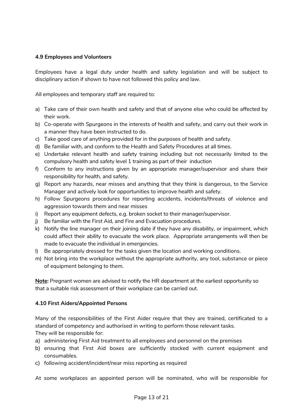## **4.9 Employees and Volunteers**

Employees have a legal duty under health and safety legislation and will be subject to disciplinary action if shown to have not followed this policy and law.

All employees and temporary staff are required to:

- a) Take care of their own health and safety and that of anyone else who could be affected by their work.
- b) Co-operate with Spurgeons in the interests of health and safety, and carry out their work in a manner they have been instructed to do.
- c) Take good care of anything provided for in the purposes of health and safety.
- d) Be familiar with, and conform to the Health and Safety Procedures at all times.
- e) Undertake relevant health and safety training including but not necessarily limited to the compulsory health and safety level 1 training as part of their induction
- f) Conform to any instructions given by an appropriate manager/supervisor and share their responsibility for health, and safety.
- g) Report any hazards, near misses and anything that they think is dangerous, to the Service Manager and actively look for opportunities to improve health and safety.
- h) Follow Spurgeons procedures for reporting accidents, incidents/threats of violence and aggression towards them and near misses
- i) Report any equipment defects, e.g. broken socket to their manager/supervisor.
- j) Be familiar with the First Aid, and Fire and Evacuation procedures.
- k) Notify the line manager on their joining date if they have any disability, or impairment, which could affect their ability to evacuate the work place. Appropriate arrangements will then be made to evacuate the individual in emergencies.
- l) Be appropriately dressed for the tasks given the location and working conditions.
- m) Not bring into the workplace without the appropriate authority, any tool, substance or piece of equipment belonging to them.

**Note:** Pregnant women are advised to notify the HR department at the earliest opportunity so that a suitable risk assessment of their workplace can be carried out.

#### **4.10 First Aiders/Appointed Persons**

Many of the responsibilities of the First Aider require that they are trained, certificated to a standard of competency and authorised in writing to perform those relevant tasks. They will be responsible for:

- a) administering First Aid treatment to all employees and personnel on the premises
- b) ensuring that First Aid boxes are sufficiently stocked with current equipment and consumables.
- c) following accident/incident/near miss reporting as required

At some workplaces an appointed person will be nominated, who will be responsible for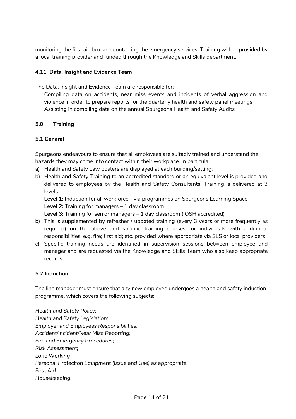monitoring the first aid box and contacting the emergency services. Training will be provided by a local training provider and funded through the Knowledge and Skills department.

# **4.11 Data, Insight and Evidence Team**

The Data, Insight and Evidence Team are responsible for:

Compiling data on accidents, near miss events and incidents of verbal aggression and violence in order to prepare reports for the quarterly health and safety panel meetings Assisting in compiling data on the annual Spurgeons Health and Safety Audits

# **5.0 Training**

# **5.1 General**

Spurgeons endeavours to ensure that all employees are suitably trained and understand the hazards they may come into contact within their workplace. In particular:

- a) Health and Safety Law posters are displayed at each building/setting:
- b) Health and Safety Training to an accredited standard or an equivalent level is provided and delivered to employees by the Health and Safety Consultants. Training is delivered at 3 levels:

**Level 1:** Induction for all workforce - via programmes on Spurgeons Learning Space **Level 2:** Training for managers – 1 day classroom

**Level 3:** Training for senior managers – 1 day classroom (IOSH accredited)

- b) This is supplemented by refresher / updated training (every 3 years or more frequently as required) on the above and specific training courses for individuals with additional responsibilities, e.g. fire; first aid; etc. provided where appropriate via SLS or local providers
- c) Specific training needs are identified in supervision sessions between employee and manager and are requested via the Knowledge and Skills Team who also keep appropriate records.

# **5.2 Induction**

The line manager must ensure that any new employee undergoes a health and safety induction programme, which covers the following subjects:

*Health and Safety Policy; Health and Safety Legislation; Employer and Employees Responsibilities; Accident/Incident/Near Miss Reporting; Fire and Emergency Procedures; Risk Assessment; Lone Working Personal Protection Equipment (Issue and Use) as appropriate; First Aid Housekeeping;*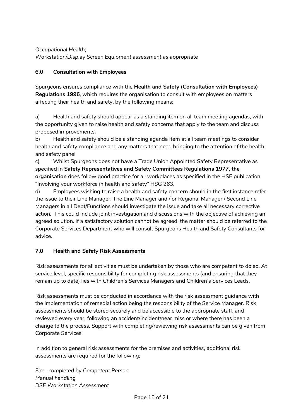*Occupational Health; Workstation/Display Screen Equipment assessment as appropriate* 

# **6.0 Consultation with Employees**

Spurgeons ensures compliance with the **Health and Safety (Consultation with Employees) Regulations 1996***,* which requires the organisation to consult with employees on matters affecting their health and safety, by the following means:

a) Health and safety should appear as a standing item on all team meeting agendas, with the opportunity given to raise health and safety concerns that apply to the team and discuss proposed improvements.

b) Health and safety should be a standing agenda item at all team meetings to consider health and safety compliance and any matters that need bringing to the attention of the health and safety panel

c) Whilst Spurgeons does not have a Trade Union Appointed Safety Representative as specified in **Safety Representatives and Safety Committees Regulations 1977, the organisation** does follow good practice for all workplaces as specified in the HSE publication "Involving your workforce in health and safety" HSG 263.

d) Employees wishing to raise a health and safety concern should in the first instance refer the issue to their Line Manager. The Line Manager and / or Regional Manager / Second Line Managers in all Dept/Functions should investigate the issue and take all necessary corrective action. This could include joint investigation and discussions with the objective of achieving an agreed solution. If a satisfactory solution cannot be agreed, the matter should be referred to the Corporate Services Department who will consult Spurgeons Health and Safety Consultants for advice.

# **7.0 Health and Safety Risk Assessments**

Risk assessments for all activities must be undertaken by those who are competent to do so. At service level, specific responsibility for completing risk assessments (and ensuring that they remain up to date) lies with Children's Services Managers and Children's Services Leads.

Risk assessments must be conducted in accordance with the risk assessment guidance with the implementation of remedial action being the responsibility of the Service Manager. Risk assessments should be stored securely and be accessible to the appropriate staff, and reviewed every year, following an accident/incident/near miss or where there has been a change to the process. Support with completing/reviewing risk assessments can be given from Corporate Services.

In addition to general risk assessments for the premises and activities, additional risk assessments are required for the following;

*Fire– completed by Competent Person Manual handling DSE Workstation Assessment*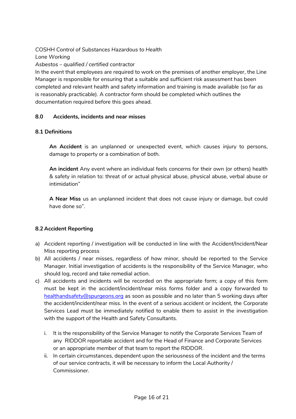*COSHH Control of Substances Hazardous to Health Lone Working*

*Asbestos – qualified / certified contractor*

In the event that employees are required to work on the premises of another employer, the Line Manager is responsible for ensuring that a suitable and sufficient risk assessment has been completed and relevant health and safety information and training is made available (so far as is reasonably practicable). A contractor form should be completed which outlines the documentation required before this goes ahead.

# **8.0 Accidents, incidents and near misses**

## **8.1 Definitions**

**An Accident** is an unplanned or unexpected event, which causes injury to persons, damage to property or a combination of both.

**An incident** Any event where an individual feels concerns for their own (or others) health & safety in relation to: threat of or actual physical abuse, physical abuse, verbal abuse or intimidation"

**A Near Miss** us an unplanned incident that does not cause injury or damage, but could have done so".

# **8.2 Accident Reporting**

- a) Accident reporting / investigation will be conducted in line with the Accident/Incident/Near Miss reporting process
- b) All accidents / near misses, regardless of how minor, should be reported to the Service Manager. Initial investigation of accidents is the responsibility of the Service Manager, who should log, record and take remedial action.
- c) All accidents and incidents will be recorded on the appropriate form; a copy of this form must be kept in the accident/incident/near miss forms folder and a copy forwarded to [healthandsafety@spurgeons.org](mailto:healthandsafety@spurgeons.org) as soon as possible and no later than 5 working days after the accident/incident/near miss. In the event of a serious accident or incident, the Corporate Services Lead must be immediately notified to enable them to assist in the investigation with the support of the Health and Safety Consultants.
	- i. It is the responsibility of the Service Manager to notify the Corporate Services Team of any RIDDOR reportable accident and for the Head of Finance and Corporate Services or an appropriate member of that team to report the RIDDOR.
	- ii. In certain circumstances, dependent upon the seriousness of the incident and the terms of our service contracts, it will be necessary to inform the Local Authority / Commissioner.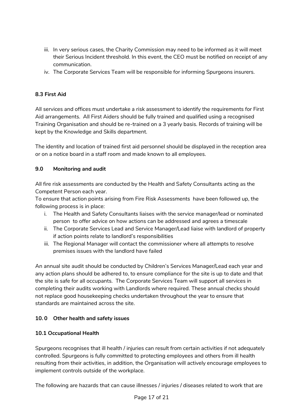- iii. In very serious cases, the Charity Commission may need to be informed as it will meet their Serious Incident threshold. In this event, the CEO must be notified on receipt of any communication.
- iv. The Corporate Services Team will be responsible for informing Spurgeons insurers.

# **8.3 First Aid**

All services and offices must undertake a risk assessment to identify the requirements for First Aid arrangements. All First Aiders should be fully trained and qualified using a recognised Training Organisation and should be re-trained on a 3 yearly basis. Records of training will be kept by the Knowledge and Skills department.

The identity and location of trained first aid personnel should be displayed in the reception area or on a notice board in a staff room and made known to all employees.

# **9.0 Monitoring and audit**

All fire risk assessments are conducted by the Health and Safety Consultants acting as the Competent Person each year.

To ensure that action points arising from Fire Risk Assessments have been followed up, the following process is in place:

- i. The Health and Safety Consultants liaises with the service manager/lead or nominated person to offer advice on how actions can be addressed and agrees a timescale
- ii. The Corporate Services Lead and Service Manager/Lead liaise with landlord of property if action points relate to landlord's responsibilities
- iii. The Regional Manager will contact the commissioner where all attempts to resolve premises issues with the landlord have failed

An annual site audit should be conducted by Children's Services Manager/Lead each year and any action plans should be adhered to, to ensure compliance for the site is up to date and that the site is safe for all occupants. The Corporate Services Team will support all services in completing their audits working with Landlords where required. These annual checks should not replace good housekeeping checks undertaken throughout the year to ensure that standards are maintained across the site.

# **10. 0 Other health and safety issues**

# **10.1 Occupational Health**

Spurgeons recognises that ill health / injuries can result from certain activities if not adequately controlled. Spurgeons is fully committed to protecting employees and others from ill health resulting from their activities, in addition, the Organisation will actively encourage employees to implement controls outside of the workplace.

The following are hazards that can cause illnesses / injuries / diseases related to work that are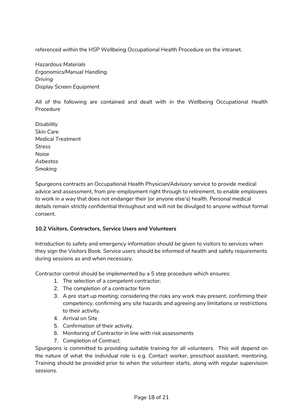referenced within the HSP Wellbeing Occupational Health Procedure on the intranet.

*Hazardous Materials Ergonomics/Manual Handling Driving Display Screen Equipment* 

All of the following are contained and dealt with in the Wellbeing Occupational Health Procedure

*Disability Skin Care Medical Treatment Stress Noise Asbestos Smoking* 

Spurgeons contracts an Occupational Health Physician/Advisory service to provide medical advice and assessment, from pre-employment right through to retirement, to enable employees to work in a way that does not endanger their (or anyone else's) health. Personal medical details remain strictly confidential throughout and will not be divulged to anyone without formal consent.

# **10.2 Visitors, Contractors, Service Users and Volunteers**

Introduction to safety and emergency information should be given to visitors to services when they sign the Visitors Book. Service users should be informed of health and safety requirements during sessions as and when necessary.

Contractor control should be implemented by a 5 step procedure which ensures:

- 1. The selection of a competent contractor;
- 2. The completion of a contractor form
- 3. A pre start up meeting; considering the risks any work may present, confirming their competency, confirming any site hazards and agreeing any limitations or restrictions to their activity.
- 4. Arrival on Site
- 5. Confirmation of their activity.
- 6. Monitoring of Contractor in line with risk assessments
- 7. Completion of Contract.

Spurgeons is committed to providing suitable training for all volunteers. This will depend on the nature of what the individual role is e.g. Contact worker, preschool assistant, mentoring. Training should be provided prior to when the volunteer starts, along with regular supervision sessions.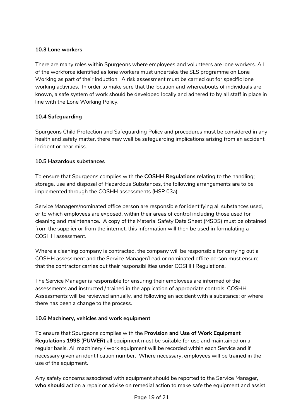# **10.3 Lone workers**

There are many roles within Spurgeons where employees and volunteers are lone workers. All of the workforce identified as lone workers must undertake the SLS programme on Lone Working as part of their induction. A risk assessment must be carried out for specific lone working activities. In order to make sure that the location and whereabouts of individuals are known, a safe system of work should be developed locally and adhered to by all staff in place in line with the Lone Working Policy.

# **10.4 Safeguarding**

Spurgeons Child Protection and Safeguarding Policy and procedures must be considered in any health and safety matter, there may well be safeguarding implications arising from an accident, incident or near miss.

# **10.5 Hazardous substances**

To ensure that Spurgeons complies with the **COSHH Regulations** relating to the handling; storage, use and disposal of Hazardous Substances, the following arrangements are to be implemented through the COSHH assessments (HSP 03a).

Service Managers/nominated office person are responsible for identifying all substances used, or to which employees are exposed, within their areas of control including those used for cleaning and maintenance. A copy of the Material Safety Data Sheet (MSDS) must be obtained from the supplier or from the internet; this information will then be used in formulating a COSHH assessment.

Where a cleaning company is contracted, the company will be responsible for carrying out a COSHH assessment and the Service Manager/Lead or nominated office person must ensure that the contractor carries out their responsibilities under COSHH Regulations.

The Service Manager is responsible for ensuring their employees are informed of the assessments and instructed / trained in the application of appropriate controls. COSHH Assessments will be reviewed annually, and following an accident with a substance; or where there has been a change to the process.

# **10.6 Machinery, vehicles and work equipment**

To ensure that Spurgeons complies with the **Provision and Use of Work Equipment Regulations 1998** (*PUWER*) all equipment must be suitable for use and maintained on a regular basis. All machinery / work equipment will be recorded within each Service and if necessary given an identification number. Where necessary, employees will be trained in the use of the equipment.

Any safety concerns associated with equipment should be reported to the Service Manager, **who should** action a repair or advise on remedial action to make safe the equipment and assist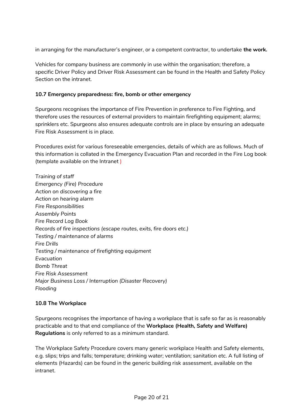in arranging for the manufacturer's engineer, or a competent contractor, to undertake **the work.**

Vehicles for company business are commonly in use within the organisation; therefore, a specific Driver Policy and Driver Risk Assessment can be found in the Health and Safety Policy Section on the intranet.

#### **10.7 Emergency preparedness: fire, bomb or other emergency**

Spurgeons recognises the importance of Fire Prevention in preference to Fire Fighting, and therefore uses the resources of external providers to maintain firefighting equipment; alarms; sprinklers etc. Spurgeons also ensures adequate controls are in place by ensuring an adequate Fire Risk Assessment is in place.

Procedures exist for various foreseeable emergencies, details of which are as follows. Much of this information is collated in the Emergency Evacuation Plan and recorded in the Fire Log book (template available on the Intranet )

*Training of staff Emergency (Fire) Procedure Action on discovering a fire Action on hearing alarm Fire Responsibilities Assembly Points Fire Record Log Book Records of fire inspections (escape routes, exits, fire doors etc.) Testing / maintenance of alarms Fire Drills Testing / maintenance of firefighting equipment Evacuation Bomb Threat Fire Risk Assessment Major Business Loss / Interruption (Disaster Recovery) Flooding*

#### **10.8 The Workplace**

Spurgeons recognises the importance of having a workplace that is safe so far as is reasonably practicable and to that end compliance of the **Workplace (Health***,* **Safety and Welfare) Regulations** is only referred to as a minimum standard.

The Workplace Safety Procedure covers many generic workplace Health and Safety elements, e.g. slips; trips and falls; temperature; drinking water; ventilation; sanitation etc. A full listing of elements (Hazards) can be found in the generic building risk assessment, available on the intranet.